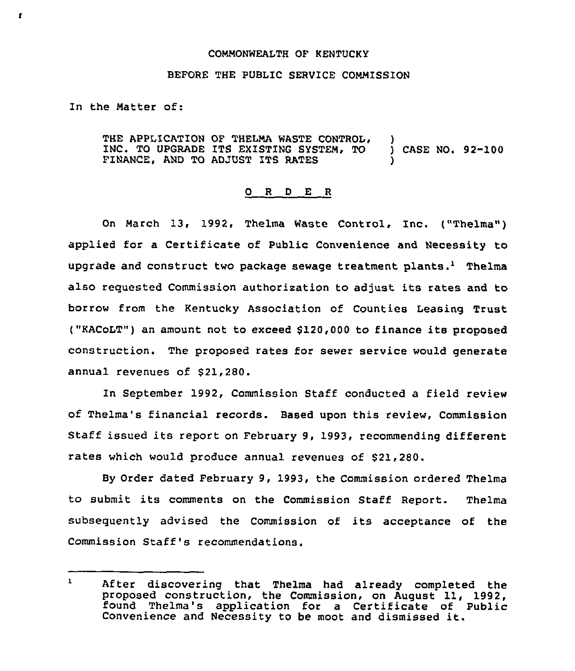#### COMMONWEALTH OF KENTUCKY

## BEFORE THE PUBLIC SERVICE COMMISSION

In the Matter of:

 $\mathbf{r}$ 

THE APPLICATION OF THELMA WASTE CONTROL, )<br>INC. TO UPGRADE ITS EXISTING SYSTEM, TO ) CASE NO. 92-100 INC. TO UPGRADE ITS EXISTING SYSTEM, TO FINANCE, AND TO ADJUST ITS RATES

#### 0 R <sup>D</sup> E <sup>R</sup>

On March 13, 1992, Thelma Waste Control, Inc. ("Thelma") applied for a Certificate of Public Convenience and Necessity to upgrade and construct two package sewage treatment plants.<sup>1</sup> Thelma also requested Commission authorisation to adjust its rates and to borrow from the Kentucky Association of Counties Leasing Trust ("KACoLT") an amount not to exceed \$120<000 to finance its proposed construction. The proposed rates for sewer service would generate annual revenues of \$21,280.

In September 1992, Commission Staff conducted a field review of Thelma's financial records. Based upon this review, Commission Staff issued its report on February 9, 1993, recommending different rates which would produce annual revenues of \$21,280.

By Order dated February 9, 1993, the Commission ordered Thelma to submit its comments on the Commission Staff Report. Thelma subsequently advised the Commission of its acceptance of the Commission Staff's recommendations.

 $\mathbf{L}$ After discovering that Thelma had already completed the proposed construction, the Commission, on August 11, 1992, found Thelma's application for a Certificate of Public Convenience and Necessity to be moot and dismissed it.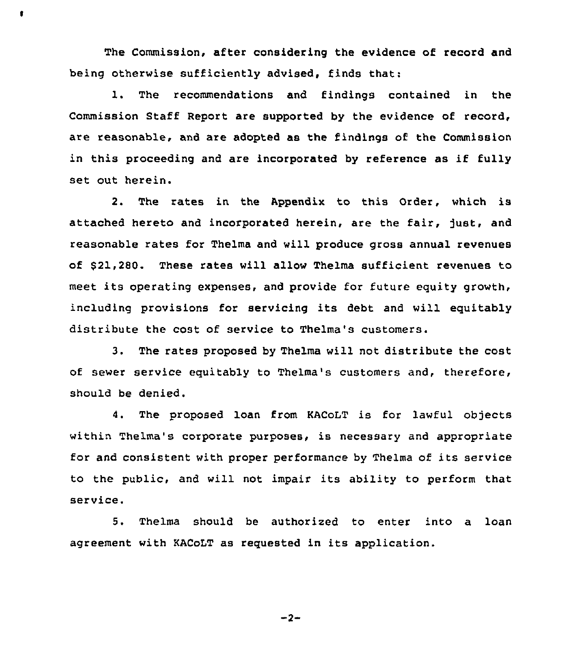The Commission, after considering the evidence of record and being otherwise sufficiently advised, finds that:

 $\bullet$ 

1. The recommendations and findings contained in the Commission Staff Report are supported by the evidence of record, are reasonable, and are adopted as the findings of the Commission in this proceeding and are incorporated by reference as if fully set out herein.

2. The rates in the Appendix to this Order, which is attached hereto and incorporated herein, are the fair, just, and reasonable rates for Thelma and will produce gross annual revenues of \$ 21,280. These rates will allow Thelma sufficient revenues to meet its operating expenses, and provide for future equity growth, including provisions for servicing its debt and will equitably distribute the cost of service to Thelma's customers.

3. The rates proposed by Thelma will not distribute the cost of sewer service equitably to Thelma's customers and, therefore, should be denied.

4. The proposed loan from KACoLT is for lawful objects within Thelma's corporate purposes, is necessary and appropriate for and consistent with proper performance by Thelma of its service to the public, and will not impair its ability to perform that service.

5. Thelma should be authorized to enter into a loan agreement with KACoLT as requested in its application.

 $-2-$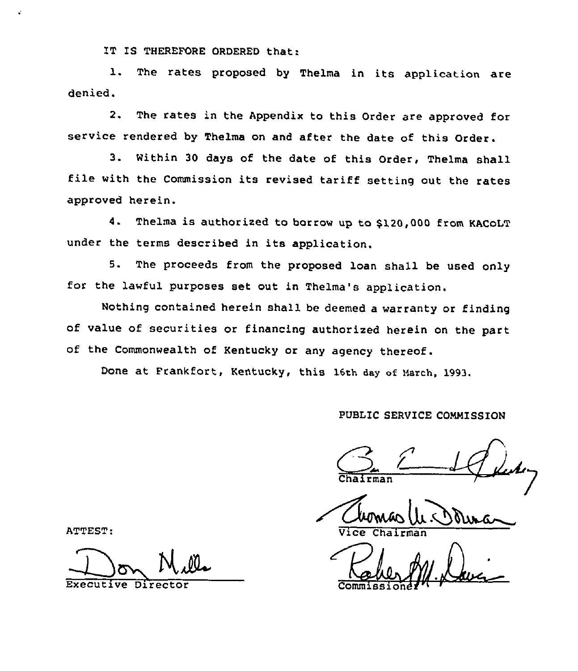IT IS THEREFORE ORDERED that:

1. The rates proposed by Thelma in its application are denied.

2. The rates in the Appendix to this Order are approved for service rendered by Thelma on and after the date of this Order.

3. Within <sup>30</sup> days of the date of this Order, Thelma shall file with the Commission its revised tariff setting out the rates approved herein.

4. Thelma is authorized to borrow up to \$120,000 from KACoLT under the terms described in its application.

5. The proceeds from the proposed loan shall be used only for the lawful purposes set out in Thelma's application.

Nothing contained herein shall be deemed a warranty or finding of value of securities or financing authorized herein on the part of the Commonwealth of Kentucky or any agency thereof.

Done at Frankfort, Kentucky, this 16th day of March, 1993.

## PUBLIC SERVICE COMMISSION

 $\sum_{i=1}^{n}$ **Chairma** 

Vice

ATTEST:

Executive Director Commissione